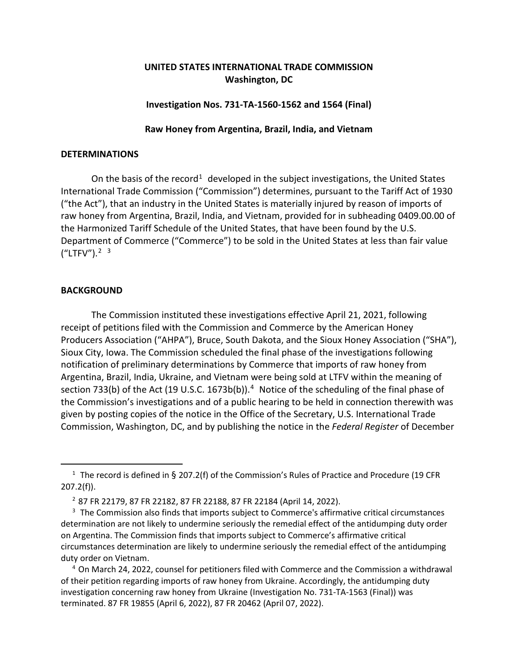# **UNITED STATES INTERNATIONAL TRADE COMMISSION Washington, DC**

### **Investigation Nos. 731-TA-1560-1562 and 1564 (Final)**

### **Raw Honey from Argentina, Brazil, India, and Vietnam**

#### **DETERMINATIONS**

On the basis of the record<sup>[1](#page-0-0)</sup> developed in the subject investigations, the United States International Trade Commission ("Commission") determines, pursuant to the Tariff Act of 1930 ("the Act"), that an industry in the United States is materially injured by reason of imports of raw honey from Argentina, Brazil, India, and Vietnam, provided for in subheading 0409.00.00 of the Harmonized Tariff Schedule of the United States, that have been found by the U.S. Department of Commerce ("Commerce") to be sold in the United States at less than fair value  $(''LTFV'')$ .<sup>[2](#page-0-1) [3](#page-0-2)</sup>

## **BACKGROUND**

The Commission instituted these investigations effective April 21, 2021, following receipt of petitions filed with the Commission and Commerce by the American Honey Producers Association ("AHPA"), Bruce, South Dakota, and the Sioux Honey Association ("SHA"), Sioux City, Iowa. The Commission scheduled the final phase of the investigations following notification of preliminary determinations by Commerce that imports of raw honey from Argentina, Brazil, India, Ukraine, and Vietnam were being sold at LTFV within the meaning of section 733(b) of the Act (19 U.S.C. 1673b(b)).<sup>[4](#page-0-3)</sup> Notice of the scheduling of the final phase of the Commission's investigations and of a public hearing to be held in connection therewith was given by posting copies of the notice in the Office of the Secretary, U.S. International Trade Commission, Washington, DC, and by publishing the notice in the *Federal Register* of December

<span id="page-0-3"></span><sup>4</sup> On March 24, 2022, counsel for petitioners filed with Commerce and the Commission a withdrawal of their petition regarding imports of raw honey from Ukraine. Accordingly, the antidumping duty investigation concerning raw honey from Ukraine (Investigation No. 731-TA-1563 (Final)) was terminated. 87 FR 19855 (April 6, 2022), 87 FR 20462 (April 07, 2022).

<span id="page-0-0"></span><sup>&</sup>lt;sup>1</sup> The record is defined in § 207.2(f) of the Commission's Rules of Practice and Procedure (19 CFR 207.2(f)).

<sup>2</sup> 87 FR 22179, 87 FR 22182, 87 FR 22188, 87 FR 22184 (April 14, 2022).

<span id="page-0-2"></span><span id="page-0-1"></span><sup>&</sup>lt;sup>3</sup> The Commission also finds that imports subject to Commerce's affirmative critical circumstances determination are not likely to undermine seriously the remedial effect of the antidumping duty order on Argentina. The Commission finds that imports subject to Commerce's affirmative critical circumstances determination are likely to undermine seriously the remedial effect of the antidumping duty order on Vietnam.